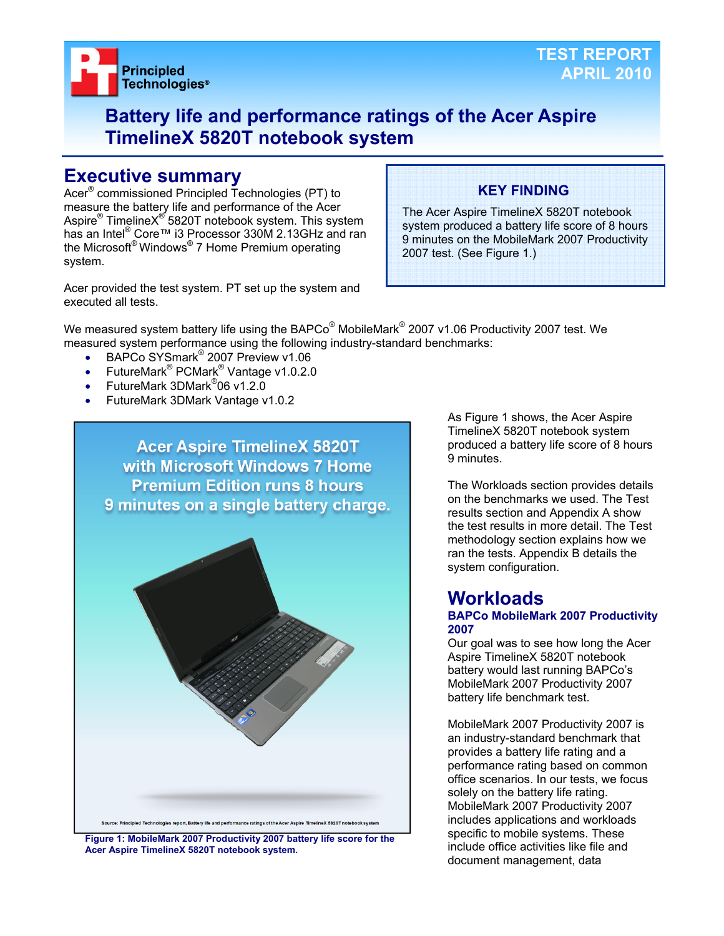

# **Battery life and performance ratings of the Acer Aspire TimelineX 5820T notebook system**

# **Executive summary**

Acer® commissioned Principled Technologies (PT) to measure the battery life and performance of the Acer Aspire® TimelineX<sup>®</sup> 5820T notebook system. This system has an Intel<sup>®</sup> Core™ i3 Processor 330M 2.13GHz and ran the Microsoft® Windows® 7 Home Premium operating system.

Acer provided the test system. PT set up the system and executed all tests.

# **KEY FINDING**

The Acer Aspire TimelineX 5820T notebook system produced a battery life score of 8 hours 9 minutes on the MobileMark 2007 Productivity 2007 test. (See Figure 1.)

We measured system battery life using the BAPCo $^{\circledast}$  MobileMark $^{\circledast}$  2007 v1.06 Productivity 2007 test. We measured system performance using the following industry-standard benchmarks:

- BAPCo SYSmark<sup>®</sup> 2007 Preview v1.06
- FutureMark<sup>®</sup> PCMark<sup>®</sup> Vantage v1.0.2.0
- FutureMark 3DMark<sup>®</sup>06 v1.2.0
- FutureMark 3DMark Vantage v1.0.2



**Figure 1: MobileMark 2007 Productivity 2007 battery life score for the Acer Aspire TimelineX 5820T notebook system.** 

As Figure 1 shows, the Acer Aspire TimelineX 5820T notebook system produced a battery life score of 8 hours 9 minutes.

The Workloads section provides details on the benchmarks we used. The Test results section and Appendix A show the test results in more detail. The Test methodology section explains how we ran the tests. Appendix B details the system configuration.

# **Workloads**

#### **BAPCo MobileMark 2007 Productivity 2007**

Our goal was to see how long the Acer Aspire TimelineX 5820T notebook battery would last running BAPCo's MobileMark 2007 Productivity 2007 battery life benchmark test.

MobileMark 2007 Productivity 2007 is an industry-standard benchmark that provides a battery life rating and a performance rating based on common office scenarios. In our tests, we focus solely on the battery life rating. MobileMark 2007 Productivity 2007 includes applications and workloads specific to mobile systems. These include office activities like file and document management, data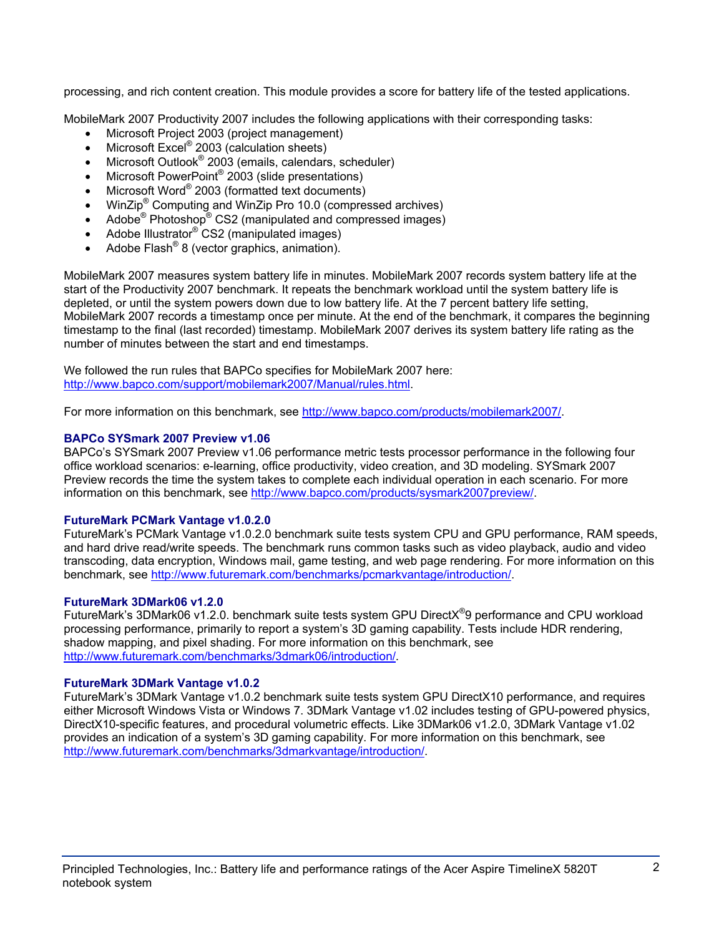processing, and rich content creation. This module provides a score for battery life of the tested applications.

MobileMark 2007 Productivity 2007 includes the following applications with their corresponding tasks:

- Microsoft Project 2003 (project management)
- $\bullet$  Microsoft Excel® 2003 (calculation sheets)
- Microsoft Outlook<sup>®</sup> 2003 (emails, calendars, scheduler)
- Microsoft PowerPoint<sup>®</sup> 2003 (slide presentations)
- Microsoft Word® 2003 (formatted text documents)
- WinZip<sup>®</sup> Computing and WinZip Pro 10.0 (compressed archives)
- Adobe<sup>®</sup> Photoshop<sup>®</sup> CS2 (manipulated and compressed images)
- Adobe Illustrator<sup>®</sup> CS2 (manipulated images)
- Adobe Flash<sup>®</sup> 8 (vector graphics, animation).

MobileMark 2007 measures system battery life in minutes. MobileMark 2007 records system battery life at the start of the Productivity 2007 benchmark. It repeats the benchmark workload until the system battery life is depleted, or until the system powers down due to low battery life. At the 7 percent battery life setting, MobileMark 2007 records a timestamp once per minute. At the end of the benchmark, it compares the beginning timestamp to the final (last recorded) timestamp. MobileMark 2007 derives its system battery life rating as the number of minutes between the start and end timestamps.

We followed the run rules that BAPCo specifies for MobileMark 2007 here: http://www.bapco.com/support/mobilemark2007/Manual/rules.html.

For more information on this benchmark, see http://www.bapco.com/products/mobilemark2007/.

# **BAPCo SYSmark 2007 Preview v1.06**

BAPCo's SYSmark 2007 Preview v1.06 performance metric tests processor performance in the following four office workload scenarios: e-learning, office productivity, video creation, and 3D modeling. SYSmark 2007 Preview records the time the system takes to complete each individual operation in each scenario. For more information on this benchmark, see http://www.bapco.com/products/sysmark2007preview/.

# **FutureMark PCMark Vantage v1.0.2.0**

FutureMark's PCMark Vantage v1.0.2.0 benchmark suite tests system CPU and GPU performance, RAM speeds, and hard drive read/write speeds. The benchmark runs common tasks such as video playback, audio and video transcoding, data encryption, Windows mail, game testing, and web page rendering. For more information on this benchmark, see http://www.futuremark.com/benchmarks/pcmarkvantage/introduction/.

# **FutureMark 3DMark06 v1.2.0**

FutureMark's 3DMark06 v1.2.0. benchmark suite tests system GPU DirectX<sup>®</sup>9 performance and CPU workload processing performance, primarily to report a system's 3D gaming capability. Tests include HDR rendering, shadow mapping, and pixel shading. For more information on this benchmark, see http://www.futuremark.com/benchmarks/3dmark06/introduction/.

# **FutureMark 3DMark Vantage v1.0.2**

FutureMark's 3DMark Vantage v1.0.2 benchmark suite tests system GPU DirectX10 performance, and requires either Microsoft Windows Vista or Windows 7. 3DMark Vantage v1.02 includes testing of GPU-powered physics, DirectX10-specific features, and procedural volumetric effects. Like 3DMark06 v1.2.0, 3DMark Vantage v1.02 provides an indication of a system's 3D gaming capability. For more information on this benchmark, see http://www.futuremark.com/benchmarks/3dmarkvantage/introduction/.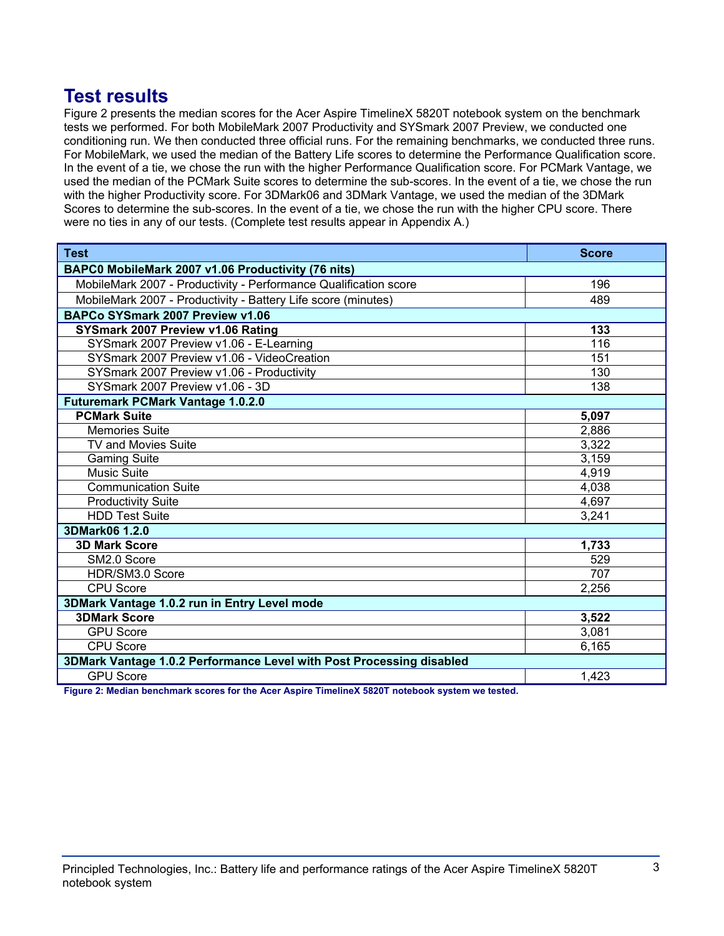# **Test results**

Figure 2 presents the median scores for the Acer Aspire TimelineX 5820T notebook system on the benchmark tests we performed. For both MobileMark 2007 Productivity and SYSmark 2007 Preview, we conducted one conditioning run. We then conducted three official runs. For the remaining benchmarks, we conducted three runs. For MobileMark, we used the median of the Battery Life scores to determine the Performance Qualification score. In the event of a tie, we chose the run with the higher Performance Qualification score. For PCMark Vantage, we used the median of the PCMark Suite scores to determine the sub-scores. In the event of a tie, we chose the run with the higher Productivity score. For 3DMark06 and 3DMark Vantage, we used the median of the 3DMark Scores to determine the sub-scores. In the event of a tie, we chose the run with the higher CPU score. There were no ties in any of our tests. (Complete test results appear in Appendix A.)

| <b>Test</b>                                                          | <b>Score</b> |  |
|----------------------------------------------------------------------|--------------|--|
| BAPC0 MobileMark 2007 v1.06 Productivity (76 nits)                   |              |  |
| MobileMark 2007 - Productivity - Performance Qualification score     | 196          |  |
| MobileMark 2007 - Productivity - Battery Life score (minutes)        | 489          |  |
| BAPCo SYSmark 2007 Preview v1.06                                     |              |  |
| SYSmark 2007 Preview v1.06 Rating                                    | 133          |  |
| SYSmark 2007 Preview v1.06 - E-Learning                              | 116          |  |
| SYSmark 2007 Preview v1.06 - VideoCreation                           | 151          |  |
| SYSmark 2007 Preview v1.06 - Productivity                            | 130          |  |
| SYSmark 2007 Preview v1.06 - 3D                                      | 138          |  |
| <b>Futuremark PCMark Vantage 1.0.2.0</b>                             |              |  |
| <b>PCMark Suite</b>                                                  | 5,097        |  |
| <b>Memories Suite</b>                                                | 2,886        |  |
| TV and Movies Suite                                                  | 3,322        |  |
| <b>Gaming Suite</b>                                                  | 3,159        |  |
| <b>Music Suite</b>                                                   | 4,919        |  |
| <b>Communication Suite</b>                                           | 4,038        |  |
| <b>Productivity Suite</b>                                            | 4,697        |  |
| <b>HDD Test Suite</b>                                                | 3,241        |  |
| 3DMark06 1.2.0                                                       |              |  |
| <b>3D Mark Score</b>                                                 | 1,733        |  |
| SM2.0 Score                                                          | 529          |  |
| HDR/SM3.0 Score                                                      | 707          |  |
| <b>CPU Score</b>                                                     | 2,256        |  |
| 3DMark Vantage 1.0.2 run in Entry Level mode                         |              |  |
| <b>3DMark Score</b>                                                  | 3,522        |  |
| <b>GPU Score</b>                                                     | 3,081        |  |
| <b>CPU Score</b>                                                     | 6,165        |  |
| 3DMark Vantage 1.0.2 Performance Level with Post Processing disabled |              |  |
| <b>GPU Score</b>                                                     | 1,423        |  |

**Figure 2: Median benchmark scores for the Acer Aspire TimelineX 5820T notebook system we tested.**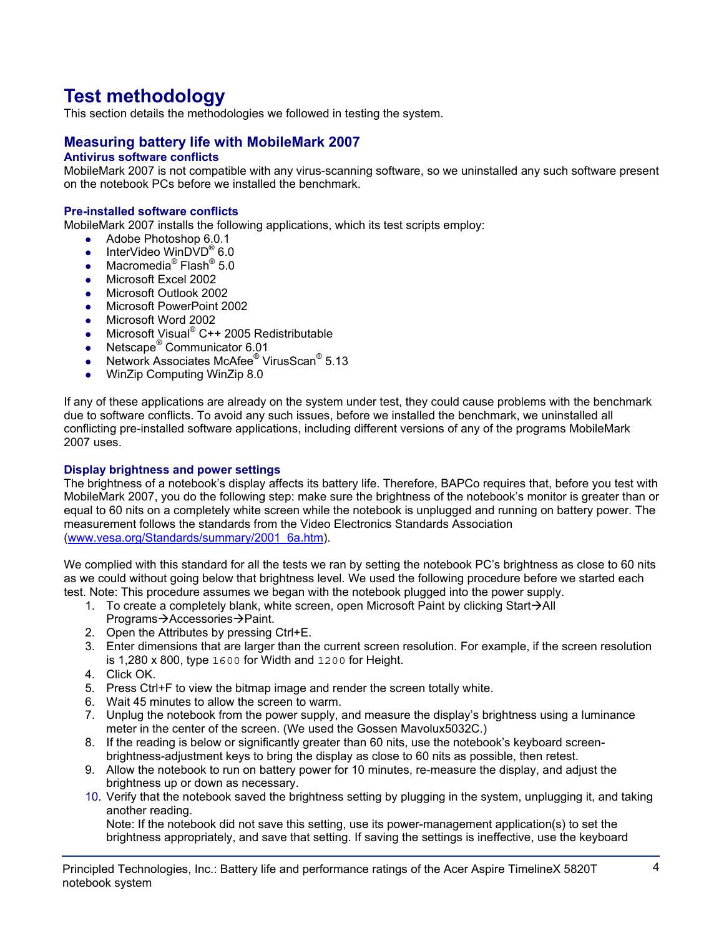# **Test methodology**

This section details the methodologies we followed in testing the system.

# **Measuring battery life with MobileMark 2007**

# **Antivirus software conflicts**

MobileMark 2007 is not compatible with any virus-scanning software, so we uninstalled any such software present on the notebook PCs before we installed the benchmark.

#### **Pre-installed software conflicts**

MobileMark 2007 installs the following applications, which its test scripts employ:

- $\bullet$  Adobe Photoshop 6.0.1
- InterVideo WinDVD<sup>®</sup> 6.0
- Macromedia<sup>®</sup> Flash<sup>®</sup> 5.0
- Microsoft Excel 2002
- Microsoft Outlook 2002
- Microsoft PowerPoint 2002
- Microsoft Word 2002
- Microsoft Visual® C++ 2005 Redistributable
- Netscape<sup>®</sup> Communicator 6.01
- Network Associates McAfee<sup>®</sup> VirusScan<sup>®</sup> 5.13
- WinZip Computing WinZip 8.0

If any of these applications are already on the system under test, they could cause problems with the benchmark due to software conflicts. To avoid any such issues, before we installed the benchmark, we uninstalled all conflicting pre-installed software applications, including different versions of any of the programs MobileMark 2007 uses.

#### **Display brightness and power settings**

The brightness of a notebook's display affects its battery life. Therefore, BAPCo requires that, before you test with MobileMark 2007, you do the following step: make sure the brightness of the notebook's monitor is greater than or equal to 60 nits on a completely white screen while the notebook is unplugged and running on battery power. The measurement follows the standards from the Video Electronics Standards Association (www.vesa.org/Standards/summary/2001\_6a.htm).

We complied with this standard for all the tests we ran by setting the notebook PC's brightness as close to 60 nits as we could without going below that brightness level. We used the following procedure before we started each test. Note: This procedure assumes we began with the notebook plugged into the power supply.

- 1. To create a completely blank, white screen, open Microsoft Paint by clicking Start $\rightarrow$ All Programs→Accessories→Paint.
- 2. Open the Attributes by pressing Ctrl+E.
- 3. Enter dimensions that are larger than the current screen resolution. For example, if the screen resolution is 1,280 x 800, type 1600 for Width and 1200 for Height.
- 4. Click OK.
- 5. Press Ctrl+F to view the bitmap image and render the screen totally white.
- 6. Wait 45 minutes to allow the screen to warm.
- 7. Unplug the notebook from the power supply, and measure the display's brightness using a luminance meter in the center of the screen. (We used the Gossen Mavolux5032C.)
- 8. If the reading is below or significantly greater than 60 nits, use the notebook's keyboard screenbrightness-adjustment keys to bring the display as close to 60 nits as possible, then retest.
- 9. Allow the notebook to run on battery power for 10 minutes, re-measure the display, and adjust the brightness up or down as necessary.
- 10. Verify that the notebook saved the brightness setting by plugging in the system, unplugging it, and taking another reading.

Note: If the notebook did not save this setting, use its power-management application(s) to set the brightness appropriately, and save that setting. If saving the settings is ineffective, use the keyboard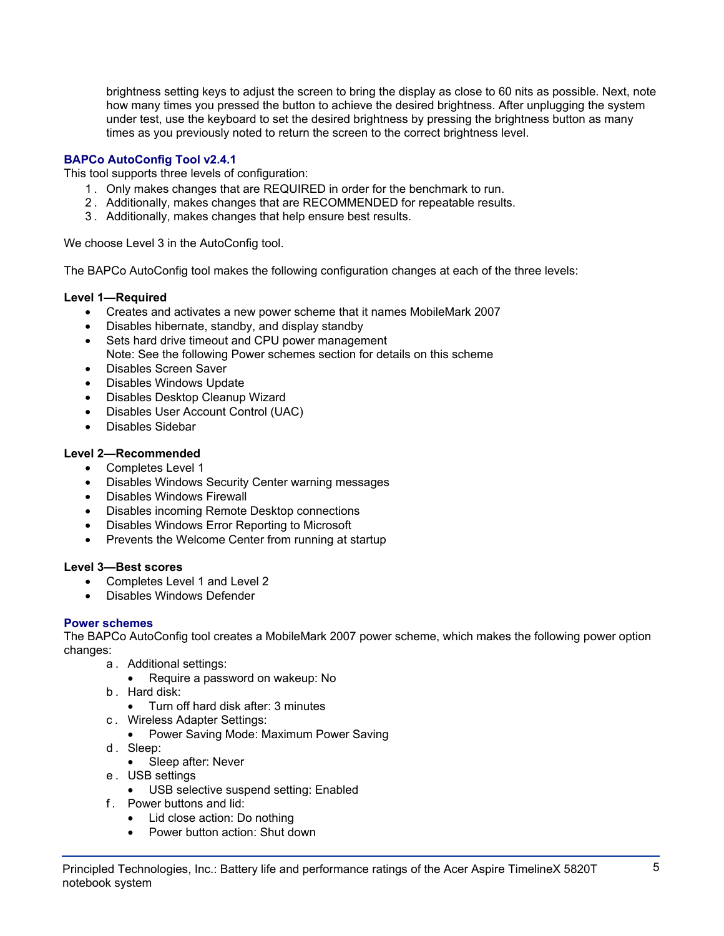brightness setting keys to adjust the screen to bring the display as close to 60 nits as possible. Next, note how many times you pressed the button to achieve the desired brightness. After unplugging the system under test, use the keyboard to set the desired brightness by pressing the brightness button as many times as you previously noted to return the screen to the correct brightness level.

# **BAPCo AutoConfig Tool v2.4.1**

This tool supports three levels of configuration:

- 1 . Only makes changes that are REQUIRED in order for the benchmark to run.
- 2 . Additionally, makes changes that are RECOMMENDED for repeatable results.
- 3 . Additionally, makes changes that help ensure best results.

We choose Level 3 in the AutoConfig tool.

The BAPCo AutoConfig tool makes the following configuration changes at each of the three levels:

# **Level 1—Required**

- Creates and activates a new power scheme that it names MobileMark 2007
- Disables hibernate, standby, and display standby
- Sets hard drive timeout and CPU power management Note: See the following Power schemes section for details on this scheme
- Disables Screen Saver
- Disables Windows Update
- Disables Desktop Cleanup Wizard
- Disables User Account Control (UAC)
- Disables Sidebar

# **Level 2—Recommended**

- Completes Level 1
- Disables Windows Security Center warning messages
- Disables Windows Firewall
- Disables incoming Remote Desktop connections
- Disables Windows Error Reporting to Microsoft
- Prevents the Welcome Center from running at startup

# **Level 3—Best scores**

- Completes Level 1 and Level 2
- Disables Windows Defender

# **Power schemes**

The BAPCo AutoConfig tool creates a MobileMark 2007 power scheme, which makes the following power option changes:

- a . Additional settings:
	- Require a password on wakeup: No
- b . Hard disk:
	- Turn off hard disk after: 3 minutes
- c . Wireless Adapter Settings:
	- Power Saving Mode: Maximum Power Saving
- d. Sleep:
	- Sleep after: Never
- e . USB settings
	- USB selective suspend setting: Enabled
- f . Power buttons and lid:
	- Lid close action: Do nothing
	- Power button action: Shut down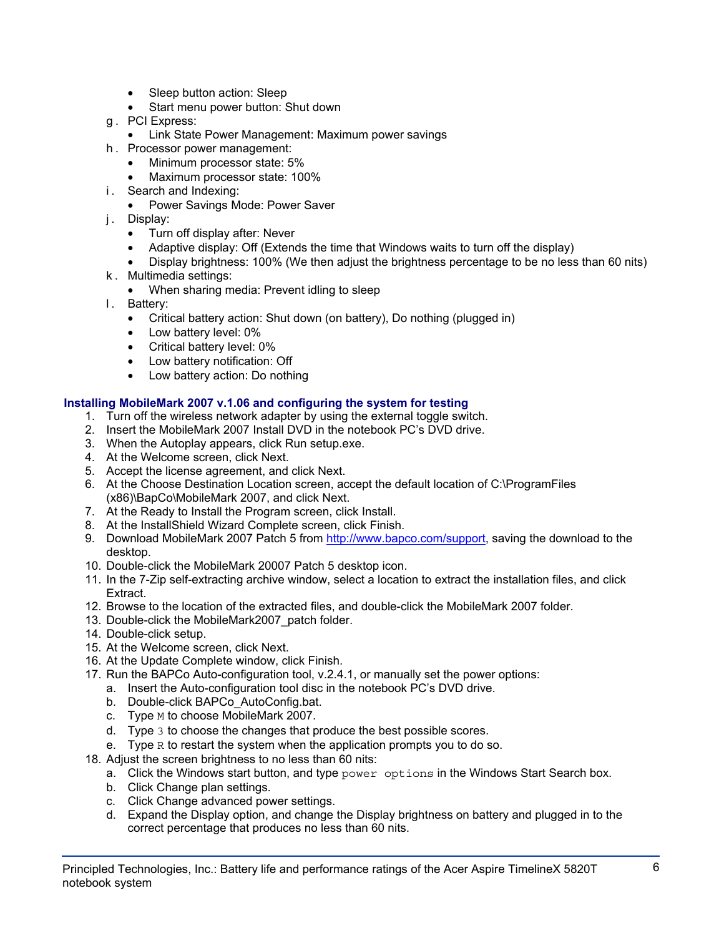- Sleep button action: Sleep
- Start menu power button: Shut down
- g . PCI Express:
	- Link State Power Management: Maximum power savings
- h . Processor power management:
	- Minimum processor state: 5%
	- Maximum processor state: 100%
- i. Search and Indexing:
	- Power Savings Mode: Power Saver
- j. Display:
	- Turn off display after: Never
	- Adaptive display: Off (Extends the time that Windows waits to turn off the display)
	- Display brightness: 100% (We then adjust the brightness percentage to be no less than 60 nits)
- k . Multimedia settings:
	- When sharing media: Prevent idling to sleep
- l. Battery:
	- Critical battery action: Shut down (on battery), Do nothing (plugged in)
	- Low battery level: 0%
	- Critical battery level: 0%
	- Low battery notification: Off
	- Low battery action: Do nothing

# **Installing MobileMark 2007 v.1.06 and configuring the system for testing**

- 1. Turn off the wireless network adapter by using the external toggle switch.
- 2. Insert the MobileMark 2007 Install DVD in the notebook PC's DVD drive.
- 3. When the Autoplay appears, click Run setup.exe.
- 4. At the Welcome screen, click Next.
- 5. Accept the license agreement, and click Next.
- 6. At the Choose Destination Location screen, accept the default location of C:\ProgramFiles (x86)\BapCo\MobileMark 2007, and click Next.
- 7. At the Ready to Install the Program screen, click Install.
- 8. At the InstallShield Wizard Complete screen, click Finish.
- 9. Download MobileMark 2007 Patch 5 from http://www.bapco.com/support, saving the download to the desktop.
- 10. Double-click the MobileMark 20007 Patch 5 desktop icon.
- 11. In the 7-Zip self-extracting archive window, select a location to extract the installation files, and click Extract.
- 12. Browse to the location of the extracted files, and double-click the MobileMark 2007 folder.
- 13. Double-click the MobileMark2007\_patch folder.
- 14. Double-click setup.
- 15. At the Welcome screen, click Next.
- 16. At the Update Complete window, click Finish.
- 17. Run the BAPCo Auto-configuration tool, v.2.4.1, or manually set the power options:
	- a. Insert the Auto-configuration tool disc in the notebook PC's DVD drive.
	- b. Double-click BAPCo\_AutoConfig.bat.
	- c. Type M to choose MobileMark 2007.
	- d. Type 3 to choose the changes that produce the best possible scores.
	- e. Type R to restart the system when the application prompts you to do so.
- 18. Adjust the screen brightness to no less than 60 nits:
	- a. Click the Windows start button, and type power options in the Windows Start Search box.
	- b. Click Change plan settings.
	- c. Click Change advanced power settings.
	- d. Expand the Display option, and change the Display brightness on battery and plugged in to the correct percentage that produces no less than 60 nits.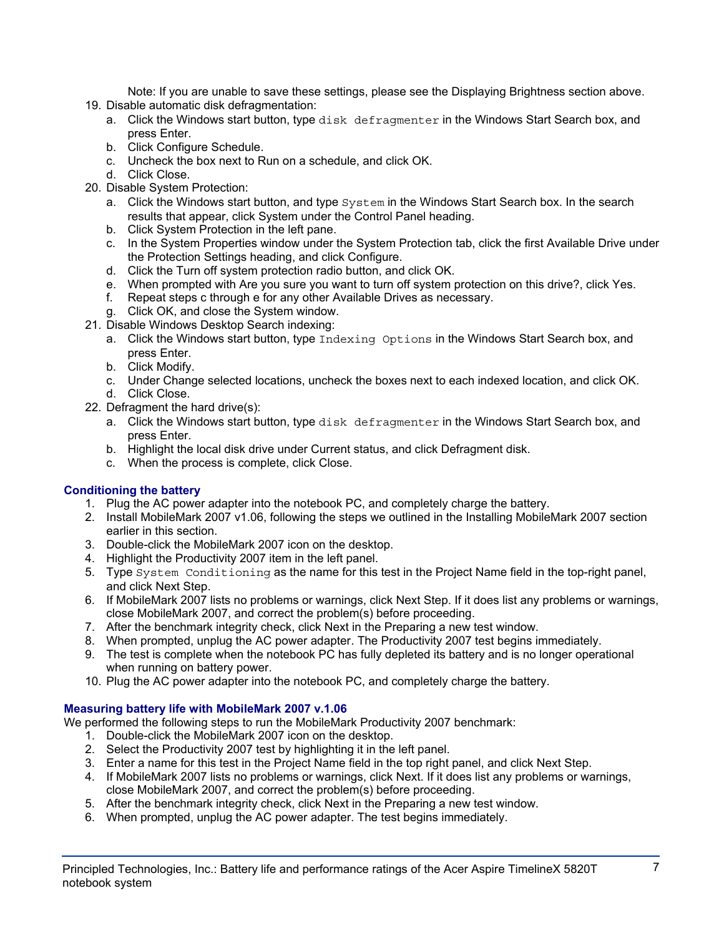Note: If you are unable to save these settings, please see the Displaying Brightness section above.

- 19. Disable automatic disk defragmentation:
	- a. Click the Windows start button, type disk defragmenter in the Windows Start Search box, and press Enter.
	- b. Click Configure Schedule.
	- c. Uncheck the box next to Run on a schedule, and click OK.
	- d. Click Close.
- 20. Disable System Protection:
	- a. Click the Windows start button, and type  $System$  in the Windows Start Search box. In the search results that appear, click System under the Control Panel heading.
	- b. Click System Protection in the left pane.
	- c. In the System Properties window under the System Protection tab, click the first Available Drive under the Protection Settings heading, and click Configure.
	- d. Click the Turn off system protection radio button, and click OK.
	- e. When prompted with Are you sure you want to turn off system protection on this drive?, click Yes.
	- f. Repeat steps c through e for any other Available Drives as necessary.
	- g. Click OK, and close the System window.
- 21. Disable Windows Desktop Search indexing:
	- a. Click the Windows start button, type Indexing Options in the Windows Start Search box, and press Enter.
	- b. Click Modify.
	- c. Under Change selected locations, uncheck the boxes next to each indexed location, and click OK. d. Click Close.
- 22. Defragment the hard drive(s):
	- a. Click the Windows start button, type disk defragmenter in the Windows Start Search box, and press Enter.
	- b. Highlight the local disk drive under Current status, and click Defragment disk.
	- c. When the process is complete, click Close.

# **Conditioning the battery**

- 1. Plug the AC power adapter into the notebook PC, and completely charge the battery.
- 2. Install MobileMark 2007 v1.06, following the steps we outlined in the Installing MobileMark 2007 section earlier in this section.
- 3. Double-click the MobileMark 2007 icon on the desktop.
- 4. Highlight the Productivity 2007 item in the left panel.
- 5. Type System Conditioning as the name for this test in the Project Name field in the top-right panel, and click Next Step.
- 6. If MobileMark 2007 lists no problems or warnings, click Next Step. If it does list any problems or warnings, close MobileMark 2007, and correct the problem(s) before proceeding.
- 7. After the benchmark integrity check, click Next in the Preparing a new test window.
- 8. When prompted, unplug the AC power adapter. The Productivity 2007 test begins immediately.
- 9. The test is complete when the notebook PC has fully depleted its battery and is no longer operational when running on battery power.
- 10. Plug the AC power adapter into the notebook PC, and completely charge the battery.

# **Measuring battery life with MobileMark 2007 v.1.06**

We performed the following steps to run the MobileMark Productivity 2007 benchmark:

- 1. Double-click the MobileMark 2007 icon on the desktop.
- 2. Select the Productivity 2007 test by highlighting it in the left panel.
- 3. Enter a name for this test in the Project Name field in the top right panel, and click Next Step.
- 4. If MobileMark 2007 lists no problems or warnings, click Next. If it does list any problems or warnings, close MobileMark 2007, and correct the problem(s) before proceeding.
- 5. After the benchmark integrity check, click Next in the Preparing a new test window.
- 6. When prompted, unplug the AC power adapter. The test begins immediately.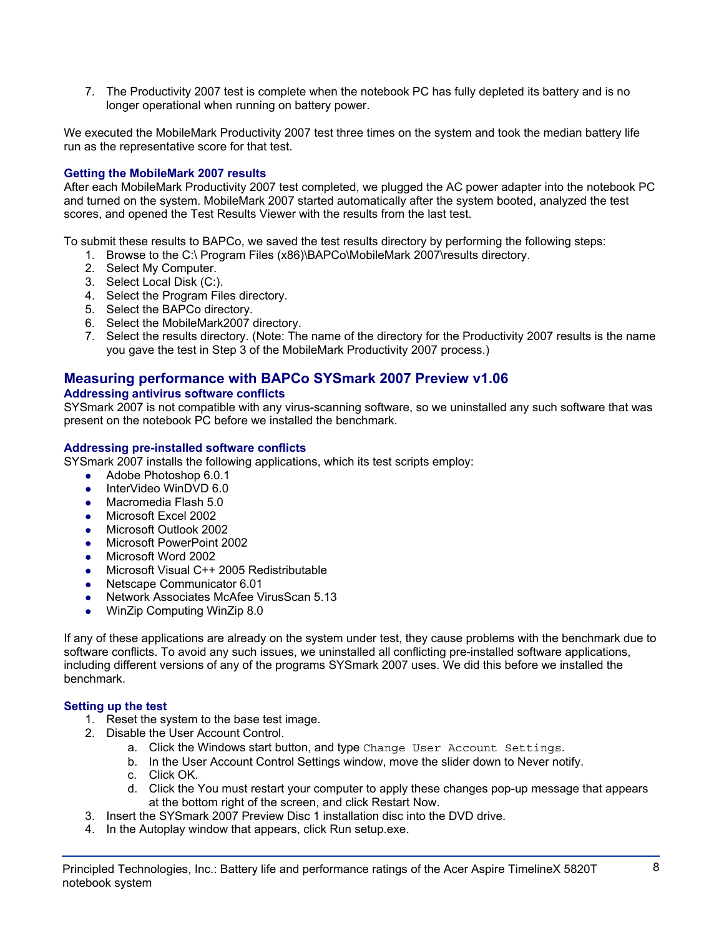7. The Productivity 2007 test is complete when the notebook PC has fully depleted its battery and is no longer operational when running on battery power.

We executed the MobileMark Productivity 2007 test three times on the system and took the median battery life run as the representative score for that test.

# **Getting the MobileMark 2007 results**

After each MobileMark Productivity 2007 test completed, we plugged the AC power adapter into the notebook PC and turned on the system. MobileMark 2007 started automatically after the system booted, analyzed the test scores, and opened the Test Results Viewer with the results from the last test.

To submit these results to BAPCo, we saved the test results directory by performing the following steps:

- 1. Browse to the C:\ Program Files (x86)\BAPCo\MobileMark 2007\results directory.
- 2. Select My Computer.
- 3. Select Local Disk (C:).
- 4. Select the Program Files directory.
- 5. Select the BAPCo directory.
- 6. Select the MobileMark2007 directory.
- 7. Select the results directory. (Note: The name of the directory for the Productivity 2007 results is the name you gave the test in Step 3 of the MobileMark Productivity 2007 process.)

# **Measuring performance with BAPCo SYSmark 2007 Preview v1.06**

# **Addressing antivirus software conflicts**

SYSmark 2007 is not compatible with any virus-scanning software, so we uninstalled any such software that was present on the notebook PC before we installed the benchmark.

#### **Addressing pre-installed software conflicts**

SYSmark 2007 installs the following applications, which its test scripts employ:

- $\bullet$  Adobe Photoshop 6.0.1
- InterVideo WinDVD 6.0
- Macromedia Flash 5.0
- Microsoft Excel 2002
- Microsoft Outlook 2002
- Microsoft PowerPoint 2002
- Microsoft Word 2002
- Microsoft Visual C++ 2005 Redistributable
- Netscape Communicator 6.01
- Network Associates McAfee VirusScan 5.13
- WinZip Computing WinZip 8.0

If any of these applications are already on the system under test, they cause problems with the benchmark due to software conflicts. To avoid any such issues, we uninstalled all conflicting pre-installed software applications, including different versions of any of the programs SYSmark 2007 uses. We did this before we installed the benchmark.

# **Setting up the test**

- 1. Reset the system to the base test image.
- 2. Disable the User Account Control.
	- a. Click the Windows start button, and type Change User Account Settings.
	- b. In the User Account Control Settings window, move the slider down to Never notify.
	- c. Click OK.
	- d. Click the You must restart your computer to apply these changes pop-up message that appears at the bottom right of the screen, and click Restart Now.
- 3. Insert the SYSmark 2007 Preview Disc 1 installation disc into the DVD drive.
- 4. In the Autoplay window that appears, click Run setup.exe.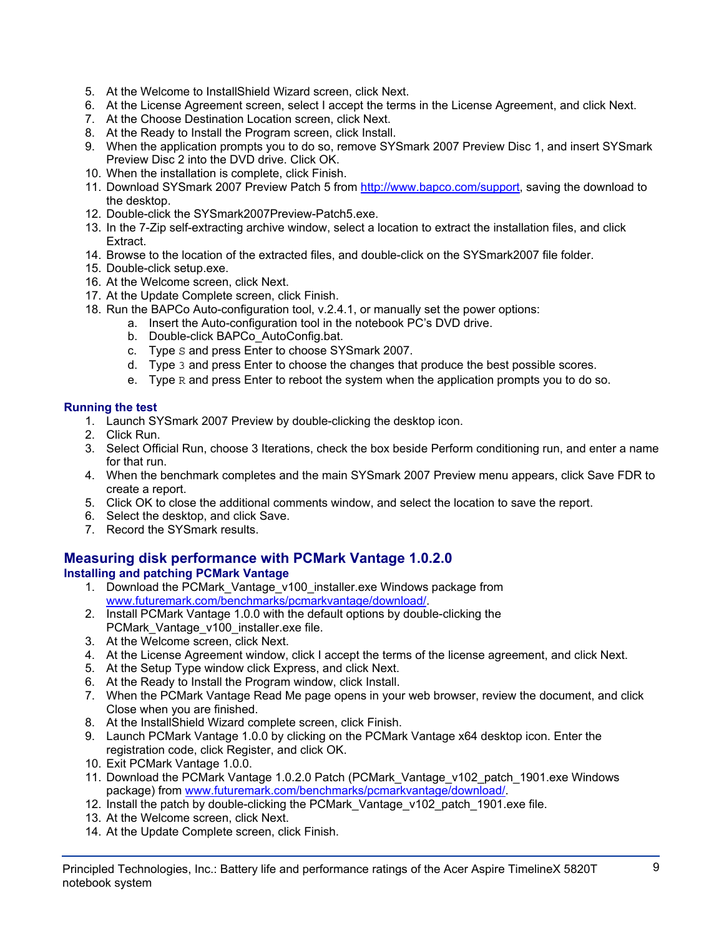- 5. At the Welcome to InstallShield Wizard screen, click Next.
- 6. At the License Agreement screen, select I accept the terms in the License Agreement, and click Next.
- 7. At the Choose Destination Location screen, click Next.
- 8. At the Ready to Install the Program screen, click Install.
- 9. When the application prompts you to do so, remove SYSmark 2007 Preview Disc 1, and insert SYSmark Preview Disc 2 into the DVD drive. Click OK.
- 10. When the installation is complete, click Finish.
- 11. Download SYSmark 2007 Preview Patch 5 from http://www.bapco.com/support, saving the download to the desktop.
- 12. Double-click the SYSmark2007Preview-Patch5.exe.
- 13. In the 7-Zip self-extracting archive window, select a location to extract the installation files, and click Extract.
- 14. Browse to the location of the extracted files, and double-click on the SYSmark2007 file folder.
- 15. Double-click setup.exe.
- 16. At the Welcome screen, click Next.
- 17. At the Update Complete screen, click Finish.
- 18. Run the BAPCo Auto-configuration tool, v.2.4.1, or manually set the power options:
	- a. Insert the Auto-configuration tool in the notebook PC's DVD drive.
		- b. Double-click BAPCo\_AutoConfig.bat.
		- c. Type S and press Enter to choose SYSmark 2007.
		- d. Type 3 and press Enter to choose the changes that produce the best possible scores.
		- e. Type  $R$  and press Enter to reboot the system when the application prompts you to do so.

# **Running the test**

- 1. Launch SYSmark 2007 Preview by double-clicking the desktop icon.
- 2. Click Run.
- 3. Select Official Run, choose 3 Iterations, check the box beside Perform conditioning run, and enter a name for that run.
- 4. When the benchmark completes and the main SYSmark 2007 Preview menu appears, click Save FDR to create a report.
- 5. Click OK to close the additional comments window, and select the location to save the report.
- 6. Select the desktop, and click Save.
- 7. Record the SYSmark results.

# **Measuring disk performance with PCMark Vantage 1.0.2.0**

# **Installing and patching PCMark Vantage**

- 1. Download the PCMark\_Vantage\_v100\_installer.exe Windows package from www.futuremark.com/benchmarks/pcmarkvantage/download/.
- 2. Install PCMark Vantage 1.0.0 with the default options by double-clicking the PCMark\_Vantage\_v100\_installer.exe file.
- 3. At the Welcome screen, click Next.
- 4. At the License Agreement window, click I accept the terms of the license agreement, and click Next.
- 5. At the Setup Type window click Express, and click Next.
- 6. At the Ready to Install the Program window, click Install.
- 7. When the PCMark Vantage Read Me page opens in your web browser, review the document, and click Close when you are finished.
- 8. At the InstallShield Wizard complete screen, click Finish.
- 9. Launch PCMark Vantage 1.0.0 by clicking on the PCMark Vantage x64 desktop icon. Enter the registration code, click Register, and click OK.
- 10. Exit PCMark Vantage 1.0.0.
- 11. Download the PCMark Vantage 1.0.2.0 Patch (PCMark\_Vantage\_v102\_patch\_1901.exe Windows package) from www.futuremark.com/benchmarks/pcmarkvantage/download/.
- 12. Install the patch by double-clicking the PCMark Vantage v102 patch 1901.exe file.
- 13. At the Welcome screen, click Next.
- 14. At the Update Complete screen, click Finish.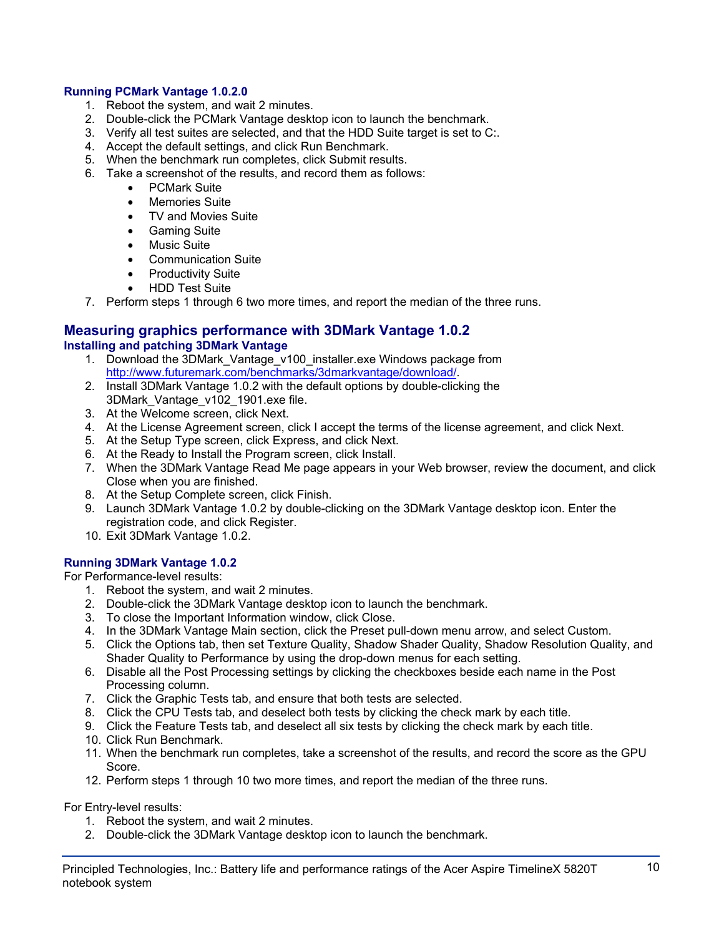# **Running PCMark Vantage 1.0.2.0**

- 1. Reboot the system, and wait 2 minutes.
- 2. Double-click the PCMark Vantage desktop icon to launch the benchmark.
- 3. Verify all test suites are selected, and that the HDD Suite target is set to C:.
- 4. Accept the default settings, and click Run Benchmark.
- 5. When the benchmark run completes, click Submit results.
- 6. Take a screenshot of the results, and record them as follows:
	- PCMark Suite
	- Memories Suite
	- TV and Movies Suite
	- Gaming Suite
	- Music Suite
	- Communication Suite
	- Productivity Suite
	- HDD Test Suite
- 7. Perform steps 1 through 6 two more times, and report the median of the three runs.

#### **Measuring graphics performance with 3DMark Vantage 1.0.2 Installing and patching 3DMark Vantage**

- 1. Download the 3DMark\_Vantage\_v100\_installer.exe Windows package from http://www.futuremark.com/benchmarks/3dmarkvantage/download/.
- 2. Install 3DMark Vantage 1.0.2 with the default options by double-clicking the 3DMark\_Vantage\_v102\_1901.exe file.
- 3. At the Welcome screen, click Next.
- 4. At the License Agreement screen, click I accept the terms of the license agreement, and click Next.
- 5. At the Setup Type screen, click Express, and click Next.
- 6. At the Ready to Install the Program screen, click Install.
- 7. When the 3DMark Vantage Read Me page appears in your Web browser, review the document, and click Close when you are finished.
- 8. At the Setup Complete screen, click Finish.
- 9. Launch 3DMark Vantage 1.0.2 by double-clicking on the 3DMark Vantage desktop icon. Enter the registration code, and click Register.
- 10. Exit 3DMark Vantage 1.0.2.

# **Running 3DMark Vantage 1.0.2**

For Performance-level results:

- 1. Reboot the system, and wait 2 minutes.
- 2. Double-click the 3DMark Vantage desktop icon to launch the benchmark.
- 3. To close the Important Information window, click Close.
- 4. In the 3DMark Vantage Main section, click the Preset pull-down menu arrow, and select Custom.
- 5. Click the Options tab, then set Texture Quality, Shadow Shader Quality, Shadow Resolution Quality, and Shader Quality to Performance by using the drop-down menus for each setting.
- 6. Disable all the Post Processing settings by clicking the checkboxes beside each name in the Post Processing column.
- 7. Click the Graphic Tests tab, and ensure that both tests are selected.
- 8. Click the CPU Tests tab, and deselect both tests by clicking the check mark by each title.
- 9. Click the Feature Tests tab, and deselect all six tests by clicking the check mark by each title.
- 10. Click Run Benchmark.
- 11. When the benchmark run completes, take a screenshot of the results, and record the score as the GPU Score.
- 12. Perform steps 1 through 10 two more times, and report the median of the three runs.

For Entry-level results:

- 1. Reboot the system, and wait 2 minutes.
- 2. Double-click the 3DMark Vantage desktop icon to launch the benchmark.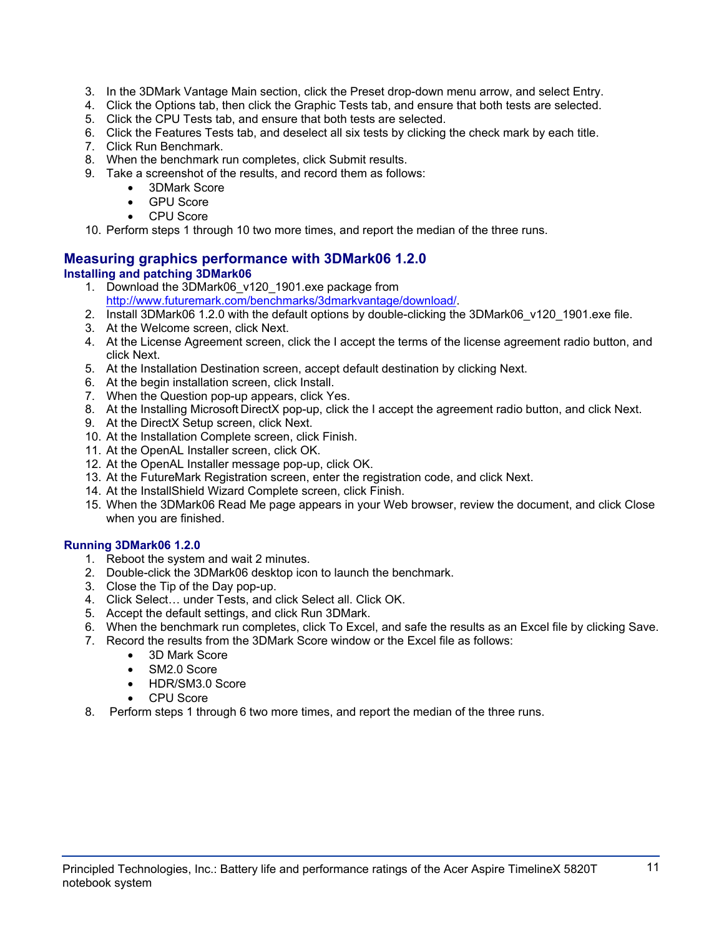- 3. In the 3DMark Vantage Main section, click the Preset drop-down menu arrow, and select Entry.
- 4. Click the Options tab, then click the Graphic Tests tab, and ensure that both tests are selected.
- 5. Click the CPU Tests tab, and ensure that both tests are selected.
- 6. Click the Features Tests tab, and deselect all six tests by clicking the check mark by each title.
- 7. Click Run Benchmark.
- 8. When the benchmark run completes, click Submit results.
- 9. Take a screenshot of the results, and record them as follows:
	- 3DMark Score
	- **GPU Score**
	- CPU Score

10. Perform steps 1 through 10 two more times, and report the median of the three runs.

# **Measuring graphics performance with 3DMark06 1.2.0 Installing and patching 3DMark06**

- 1. Download the 3DMark06\_v120\_1901.exe package from http://www.futuremark.com/benchmarks/3dmarkvantage/download/.
- 2. Install 3DMark06 1.2.0 with the default options by double-clicking the 3DMark06 v120 1901.exe file.
- 3. At the Welcome screen, click Next.
- 4. At the License Agreement screen, click the I accept the terms of the license agreement radio button, and click Next.
- 5. At the Installation Destination screen, accept default destination by clicking Next.
- 6. At the begin installation screen, click Install.
- 7. When the Question pop-up appears, click Yes.
- 8. At the Installing Microsoft DirectX pop-up, click the I accept the agreement radio button, and click Next.
- 9. At the DirectX Setup screen, click Next.
- 10. At the Installation Complete screen, click Finish.
- 11. At the OpenAL Installer screen, click OK.
- 12. At the OpenAL Installer message pop-up, click OK.
- 13. At the FutureMark Registration screen, enter the registration code, and click Next.
- 14. At the InstallShield Wizard Complete screen, click Finish.
- 15. When the 3DMark06 Read Me page appears in your Web browser, review the document, and click Close when you are finished.

# **Running 3DMark06 1.2.0**

- 1. Reboot the system and wait 2 minutes.
- 2. Double-click the 3DMark06 desktop icon to launch the benchmark.
- 3. Close the Tip of the Day pop-up.
- 4. Click Select… under Tests, and click Select all. Click OK.
- 5. Accept the default settings, and click Run 3DMark.
- 6. When the benchmark run completes, click To Excel, and safe the results as an Excel file by clicking Save.
- 7. Record the results from the 3DMark Score window or the Excel file as follows:
	- 3D Mark Score
	- SM2.0 Score
	- HDR/SM3.0 Score
	- CPU Score
- 8. Perform steps 1 through 6 two more times, and report the median of the three runs.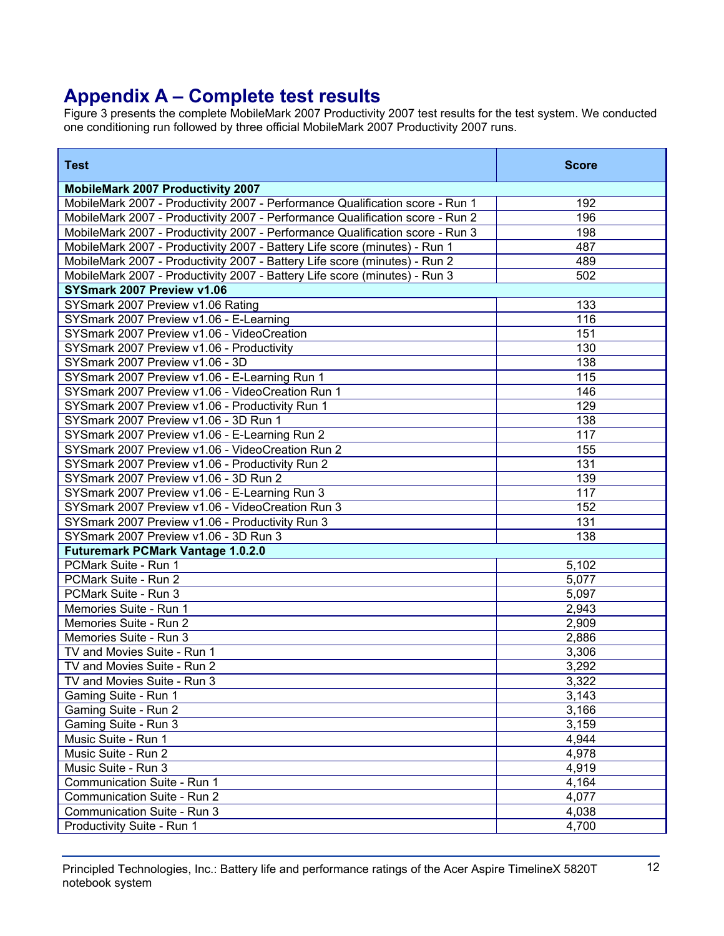# **Appendix A – Complete test results**

Figure 3 presents the complete MobileMark 2007 Productivity 2007 test results for the test system. We conducted one conditioning run followed by three official MobileMark 2007 Productivity 2007 runs.

| <b>Test</b>                                                                   | <b>Score</b> |
|-------------------------------------------------------------------------------|--------------|
| <b>MobileMark 2007 Productivity 2007</b>                                      |              |
| MobileMark 2007 - Productivity 2007 - Performance Qualification score - Run 1 | 192          |
| MobileMark 2007 - Productivity 2007 - Performance Qualification score - Run 2 | 196          |
| MobileMark 2007 - Productivity 2007 - Performance Qualification score - Run 3 | 198          |
| MobileMark 2007 - Productivity 2007 - Battery Life score (minutes) - Run 1    | 487          |
| MobileMark 2007 - Productivity 2007 - Battery Life score (minutes) - Run 2    | 489          |
| MobileMark 2007 - Productivity 2007 - Battery Life score (minutes) - Run 3    | 502          |
| SYSmark 2007 Preview v1.06                                                    |              |
| SYSmark 2007 Preview v1.06 Rating                                             | 133          |
| SYSmark 2007 Preview v1.06 - E-Learning                                       | 116          |
| SYSmark 2007 Preview v1.06 - VideoCreation                                    | 151          |
| SYSmark 2007 Preview v1.06 - Productivity                                     | 130          |
| SYSmark 2007 Preview v1.06 - 3D                                               | 138          |
| SYSmark 2007 Preview v1.06 - E-Learning Run 1                                 | 115          |
| SYSmark 2007 Preview v1.06 - VideoCreation Run 1                              | 146          |
| SYSmark 2007 Preview v1.06 - Productivity Run 1                               | 129          |
| SYSmark 2007 Preview v1.06 - 3D Run 1                                         | 138          |
| SYSmark 2007 Preview v1.06 - E-Learning Run 2                                 | 117          |
| SYSmark 2007 Preview v1.06 - VideoCreation Run 2                              | 155          |
| SYSmark 2007 Preview v1.06 - Productivity Run 2                               | 131          |
| SYSmark 2007 Preview v1.06 - 3D Run 2                                         | 139          |
| SYSmark 2007 Preview v1.06 - E-Learning Run 3                                 | 117          |
| SYSmark 2007 Preview v1.06 - VideoCreation Run 3                              | 152          |
| SYSmark 2007 Preview v1.06 - Productivity Run 3                               | 131          |
| SYSmark 2007 Preview v1.06 - 3D Run 3                                         | 138          |
| <b>Futuremark PCMark Vantage 1.0.2.0</b>                                      |              |
| PCMark Suite - Run 1                                                          | 5,102        |
| PCMark Suite - Run 2                                                          | 5,077        |
| PCMark Suite - Run 3                                                          | 5,097        |
| Memories Suite - Run 1                                                        | 2,943        |
| Memories Suite - Run 2                                                        | 2,909        |
| Memories Suite - Run 3                                                        | 2,886        |
| TV and Movies Suite - Run 1                                                   | 3,306        |
| TV and Movies Suite - Run 2                                                   | 3,292        |
| TV and Movies Suite - Run 3                                                   | 3,322        |
| Gaming Suite - Run 1                                                          | 3,143        |
| Gaming Suite - Run 2                                                          | 3,166        |
| Gaming Suite - Run 3                                                          | 3,159        |
| Music Suite - Run 1                                                           | 4,944        |
| Music Suite - Run 2                                                           | 4,978        |
| Music Suite - Run 3                                                           | 4,919        |
| Communication Suite - Run 1                                                   | 4,164        |
| Communication Suite - Run 2                                                   | 4,077        |
| Communication Suite - Run 3                                                   | 4,038        |
| Productivity Suite - Run 1                                                    | 4,700        |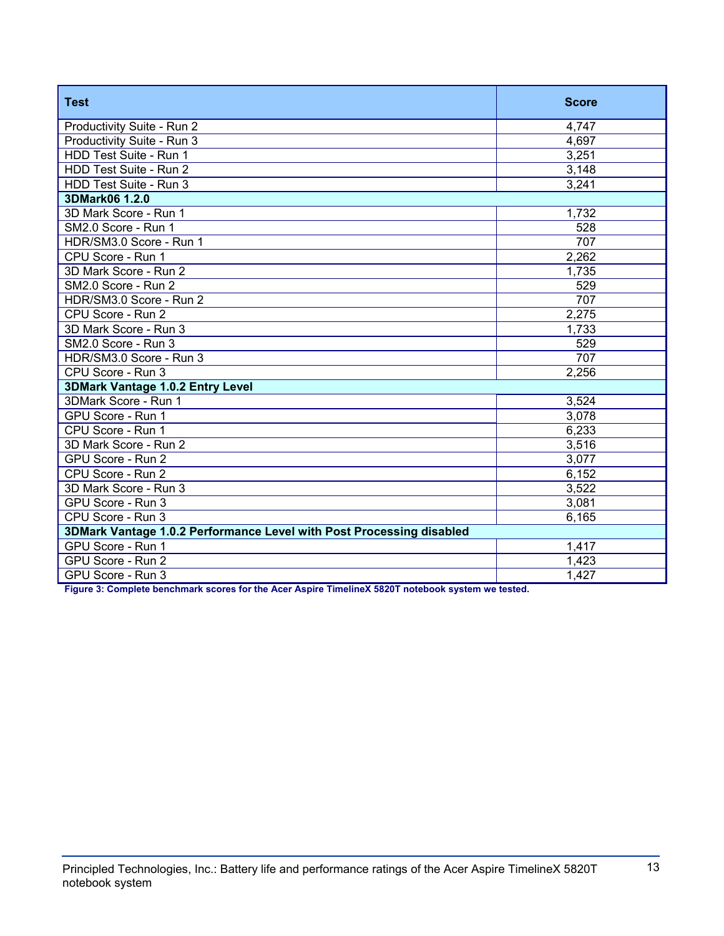| <b>Test</b>                                                          | <b>Score</b> |
|----------------------------------------------------------------------|--------------|
| Productivity Suite - Run 2                                           | 4,747        |
| Productivity Suite - Run 3                                           | 4,697        |
| HDD Test Suite - Run 1                                               | 3,251        |
| HDD Test Suite - Run 2                                               | 3,148        |
| HDD Test Suite - Run 3                                               | 3,241        |
| 3DMark06 1.2.0                                                       |              |
| 3D Mark Score - Run 1                                                | 1,732        |
| SM2.0 Score - Run 1                                                  | 528          |
| HDR/SM3.0 Score - Run 1                                              | 707          |
| CPU Score - Run 1                                                    | 2,262        |
| 3D Mark Score - Run 2                                                | 1,735        |
| SM2.0 Score - Run 2                                                  | 529          |
| HDR/SM3.0 Score - Run 2                                              | 707          |
| CPU Score - Run 2                                                    | 2,275        |
| 3D Mark Score - Run 3                                                | 1,733        |
| SM2.0 Score - Run 3                                                  | 529          |
| HDR/SM3.0 Score - Run 3                                              | 707          |
| CPU Score - Run 3                                                    | 2,256        |
| 3DMark Vantage 1.0.2 Entry Level                                     |              |
| 3DMark Score - Run 1                                                 | 3,524        |
| GPU Score - Run 1                                                    | 3,078        |
| CPU Score - Run 1                                                    | 6,233        |
| 3D Mark Score - Run 2                                                | 3,516        |
| GPU Score - Run 2                                                    | 3,077        |
| CPU Score - Run 2                                                    | 6,152        |
| 3D Mark Score - Run 3                                                | 3,522        |
| GPU Score - Run 3                                                    | 3,081        |
| CPU Score - Run 3                                                    | 6,165        |
| 3DMark Vantage 1.0.2 Performance Level with Post Processing disabled |              |
| GPU Score - Run 1                                                    | 1,417        |
| GPU Score - Run 2                                                    | 1,423        |
| GPU Score - Run 3                                                    | 1,427        |

**Figure 3: Complete benchmark scores for the Acer Aspire TimelineX 5820T notebook system we tested.**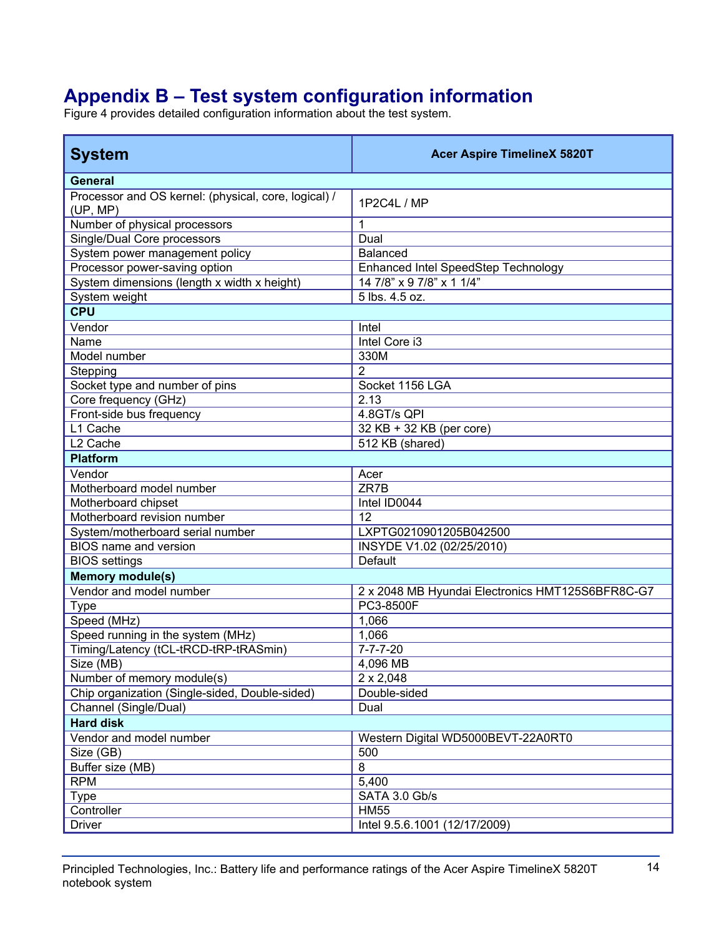# **Appendix B – Test system configuration information**

Figure 4 provides detailed configuration information about the test system.

| <b>System</b>                                                    | <b>Acer Aspire TimelineX 5820T</b>               |
|------------------------------------------------------------------|--------------------------------------------------|
| <b>General</b>                                                   |                                                  |
| Processor and OS kernel: (physical, core, logical) /<br>(UP, MP) | 1P2C4L / MP                                      |
| Number of physical processors                                    | 1                                                |
| Single/Dual Core processors                                      | Dual                                             |
| System power management policy                                   | <b>Balanced</b>                                  |
| Processor power-saving option                                    | Enhanced Intel SpeedStep Technology              |
| System dimensions (length x width x height)                      | 14 7/8" x 9 7/8" x 1 1/4"                        |
| System weight                                                    | 5 lbs. 4.5 oz.                                   |
| <b>CPU</b>                                                       |                                                  |
| Vendor                                                           | Intel                                            |
| Name                                                             | Intel Core i3                                    |
| Model number                                                     | 330M                                             |
| Stepping                                                         | $\overline{2}$                                   |
| Socket type and number of pins                                   | Socket 1156 LGA                                  |
| Core frequency (GHz)                                             | 2.13                                             |
| Front-side bus frequency                                         | 4.8GT/s QPI                                      |
| L1 Cache                                                         | 32 KB + 32 KB (per core)                         |
| L <sub>2</sub> Cache                                             | 512 KB (shared)                                  |
| <b>Platform</b>                                                  |                                                  |
| Vendor                                                           | Acer                                             |
| Motherboard model number                                         | ZR7B                                             |
| Motherboard chipset                                              | Intel ID0044                                     |
| Motherboard revision number                                      | 12                                               |
| System/motherboard serial number                                 | LXPTG0210901205B042500                           |
| BIOS name and version                                            | INSYDE V1.02 (02/25/2010)                        |
| <b>BIOS</b> settings                                             | Default                                          |
| <b>Memory module(s)</b>                                          |                                                  |
| Vendor and model number                                          | 2 x 2048 MB Hyundai Electronics HMT125S6BFR8C-G7 |
| <b>Type</b>                                                      | PC3-8500F                                        |
| Speed (MHz)                                                      | 1,066                                            |
| Speed running in the system (MHz)                                | 1,066                                            |
| Timing/Latency (tCL-tRCD-tRP-tRASmin)                            | $7 - 7 - 7 - 20$                                 |
| Size (MB)                                                        | 4,096 MB                                         |
| Number of memory module(s)                                       | $2 \times 2,048$                                 |
| Chip organization (Single-sided, Double-sided)                   | Double-sided                                     |
| Channel (Single/Dual)                                            | Dual                                             |
| <b>Hard disk</b>                                                 |                                                  |
| Vendor and model number                                          | Western Digital WD5000BEVT-22A0RT0               |
| Size (GB)                                                        | 500                                              |
| Buffer size (MB)                                                 | 8                                                |
| <b>RPM</b>                                                       | 5,400                                            |
| <b>Type</b>                                                      | SATA 3.0 Gb/s                                    |
| Controller                                                       | <b>HM55</b>                                      |
| <b>Driver</b>                                                    | Intel 9.5.6.1001 (12/17/2009)                    |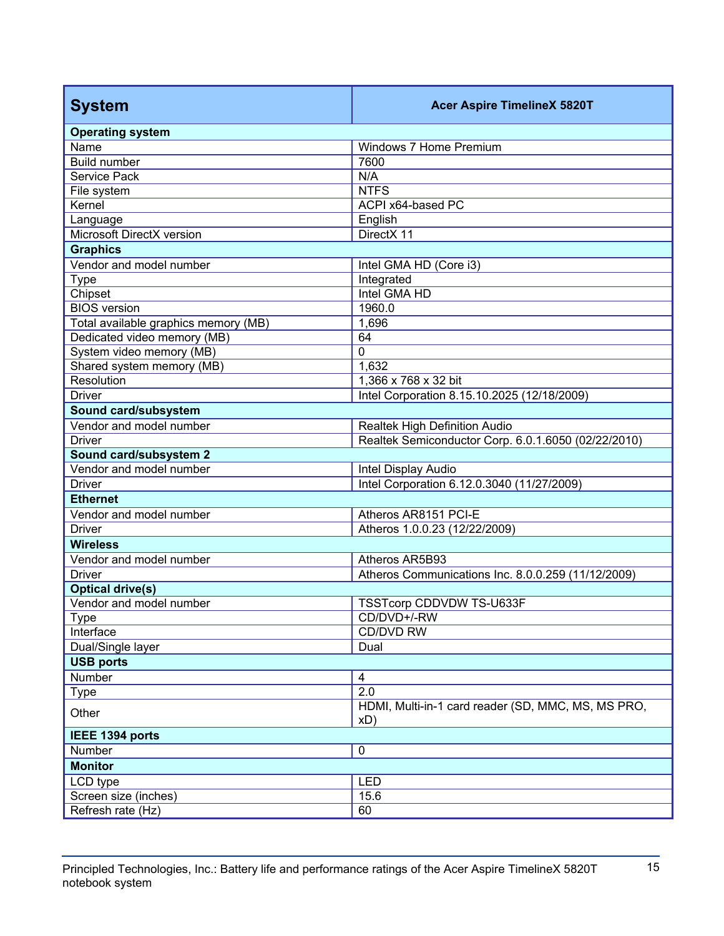| <b>System</b>                        | <b>Acer Aspire TimelineX 5820T</b>                        |
|--------------------------------------|-----------------------------------------------------------|
| <b>Operating system</b>              |                                                           |
| Name                                 | Windows 7 Home Premium                                    |
| <b>Build number</b>                  | 7600                                                      |
| <b>Service Pack</b>                  | N/A                                                       |
| File system                          | <b>NTFS</b>                                               |
| Kernel                               | ACPI x64-based PC                                         |
| Language                             | English                                                   |
| Microsoft DirectX version            | DirectX 11                                                |
| <b>Graphics</b>                      |                                                           |
| Vendor and model number              | Intel GMA HD (Core i3)                                    |
| <b>Type</b>                          | Integrated                                                |
| Chipset                              | Intel GMA HD                                              |
| <b>BIOS</b> version                  | 1960.0                                                    |
| Total available graphics memory (MB) | 1,696                                                     |
| Dedicated video memory (MB)          | 64                                                        |
| System video memory (MB)             | $\mathbf 0$                                               |
| Shared system memory (MB)            | 1,632                                                     |
| Resolution                           | 1,366 x 768 x 32 bit                                      |
| <b>Driver</b>                        | Intel Corporation 8.15.10.2025 (12/18/2009)               |
| Sound card/subsystem                 |                                                           |
| Vendor and model number              | Realtek High Definition Audio                             |
| <b>Driver</b>                        | Realtek Semiconductor Corp. 6.0.1.6050 (02/22/2010)       |
| Sound card/subsystem 2               |                                                           |
| Vendor and model number              | Intel Display Audio                                       |
| <b>Driver</b>                        | Intel Corporation 6.12.0.3040 (11/27/2009)                |
| <b>Ethernet</b>                      |                                                           |
| Vendor and model number              | Atheros AR8151 PCI-E                                      |
| <b>Driver</b>                        | Atheros 1.0.0.23 (12/22/2009)                             |
| <b>Wireless</b>                      |                                                           |
| Vendor and model number              | Atheros AR5B93                                            |
| <b>Driver</b>                        | Atheros Communications Inc. 8.0.0.259 (11/12/2009)        |
| <b>Optical drive(s)</b>              |                                                           |
| Vendor and model number              | TSSTcorp CDDVDW TS-U633F                                  |
| <b>Type</b>                          | CD/DVD+/-RW                                               |
| Interface                            | CD/DVD RW                                                 |
| Dual/Single layer                    | Dual                                                      |
| <b>USB ports</b>                     |                                                           |
| Number                               | $\overline{\mathbf{4}}$                                   |
| <b>Type</b>                          | 2.0                                                       |
| Other                                | HDMI, Multi-in-1 card reader (SD, MMC, MS, MS PRO,<br>xD) |
| IEEE 1394 ports                      |                                                           |
| Number                               | $\mathbf 0$                                               |
| <b>Monitor</b>                       |                                                           |
| LCD type                             | <b>LED</b>                                                |
| Screen size (inches)                 | 15.6                                                      |
| Refresh rate (Hz)                    | 60                                                        |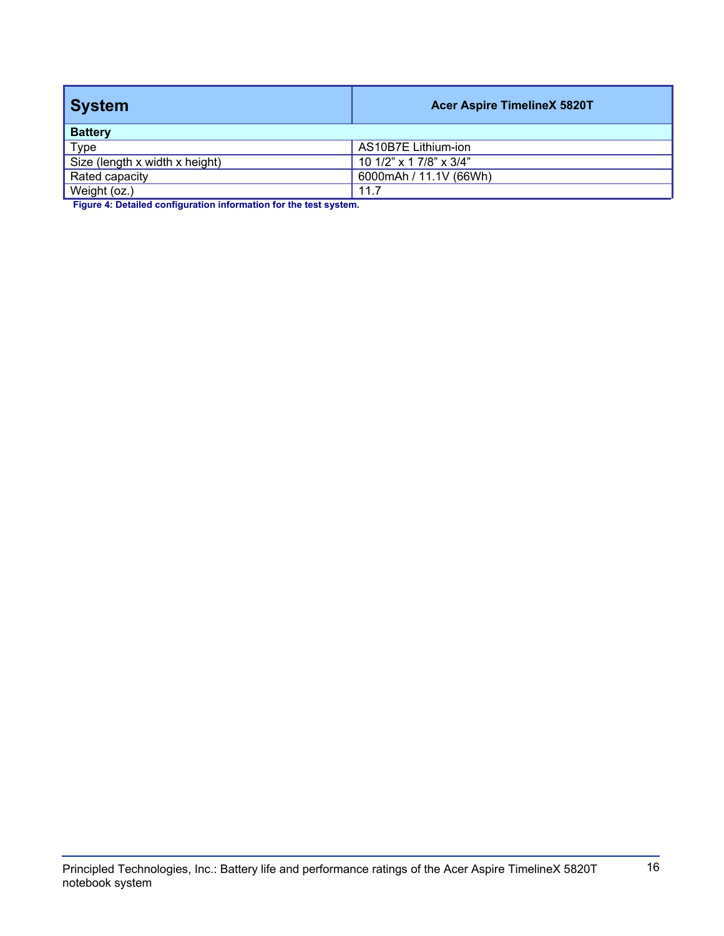| <b>System</b>                  | <b>Acer Aspire TimelineX 5820T</b>    |
|--------------------------------|---------------------------------------|
| <b>Battery</b>                 |                                       |
| Type                           | AS10B7E Lithium-ion                   |
| Size (length x width x height) | 10 1/2" $\times$ 1 7/8" $\times$ 3/4" |
| Rated capacity                 | 6000mAh / 11.1V (66Wh)                |
| Weight (oz.)                   | 11.7                                  |

**Figure 4: Detailed configuration information for the test system.**